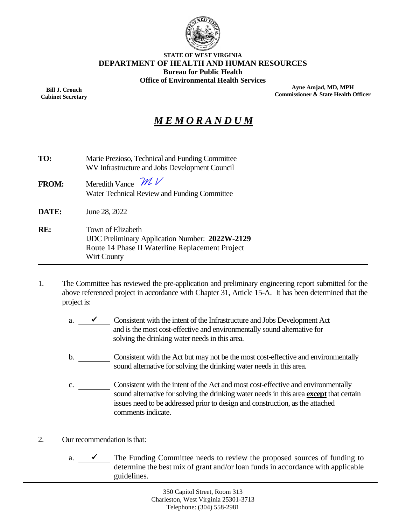

#### **STATE OF WEST VIRGINIA DEPARTMENT OF HEALTH AND HUMAN RESOURCES Bureau for Public Health Office of Environmental Health Services**

**Bill J. Crouch Cabinet Secretary**

**Ayne Amjad, MD, MPH Commissioner & State Health Officer**

## *M E M O R A N D U M*

| TO:          | Marie Prezioso, Technical and Funding Committee<br>WV Infrastructure and Jobs Development Council                                      |
|--------------|----------------------------------------------------------------------------------------------------------------------------------------|
| <b>FROM:</b> | Meredith Vance $\mathcal{W}$<br>Water Technical Review and Funding Committee                                                           |
| <b>DATE:</b> | June 28, 2022                                                                                                                          |
| RE:          | Town of Elizabeth<br>IJDC Preliminary Application Number: 2022W-2129<br>Route 14 Phase II Waterline Replacement Project<br>Wirt County |

- 1. The Committee has reviewed the pre-application and preliminary engineering report submitted for the above referenced project in accordance with Chapter 31, Article 15-A. It has been determined that the project is:
	- a.  $\checkmark$  Consistent with the intent of the Infrastructure and Jobs Development Act and is the most cost-effective and environmentally sound alternative for solving the drinking water needs in this area.
	- b. Consistent with the Act but may not be the most cost-effective and environmentally sound alternative for solving the drinking water needs in this area.
	- c. Consistent with the intent of the Act and most cost-effective and environmentally sound alternative for solving the drinking water needs in this area **except** that certain issues need to be addressed prior to design and construction, as the attached comments indicate.
- 2. Our recommendation is that:
	- a.  $\checkmark$  The Funding Committee needs to review the proposed sources of funding to determine the best mix of grant and/or loan funds in accordance with applicable guidelines.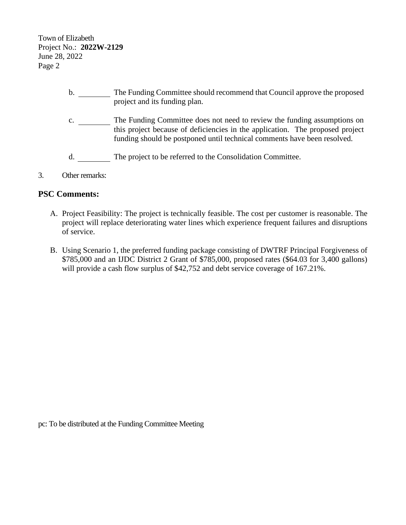Town of Elizabeth Project No.: **2022W-2129** June 28, 2022 Page 2

- b. \_\_\_\_\_\_\_\_ The Funding Committee should recommend that Council approve the proposed project and its funding plan.
- c. \_\_\_\_\_\_\_\_\_ The Funding Committee does not need to review the funding assumptions on this project because of deficiencies in the application. The proposed project funding should be postponed until technical comments have been resolved.
- d. The project to be referred to the Consolidation Committee.
- 3. Other remarks:

#### **PSC Comments:**

- A. Project Feasibility: The project is technically feasible. The cost per customer is reasonable. The project will replace deteriorating water lines which experience frequent failures and disruptions of service.
- B. Using Scenario 1, the preferred funding package consisting of DWTRF Principal Forgiveness of \$785,000 and an IJDC District 2 Grant of \$785,000, proposed rates (\$64.03 for 3,400 gallons) will provide a cash flow surplus of \$42,752 and debt service coverage of 167.21%.

pc: To be distributed at the Funding Committee Meeting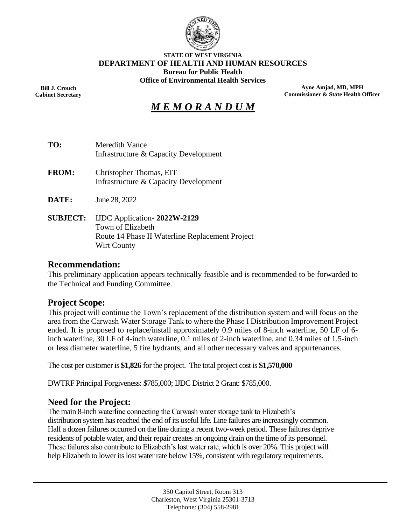

#### **STATE OF WEST VIRGINIA DEPARTMENT OF HEALTH AND HUMAN RESOURCES Bureau for Public Health Office of Environmental Health Services**

**Bill J. Crouch Cabinet Secretary**

**Ayne Amjad, MD, MPH Commissioner & State Health Officer**

# *M E M O R A N D U M*

- **TO:** Meredith Vance Infrastructure & Capacity Development
- **FROM:** Christopher Thomas, EIT Infrastructure & Capacity Development
- **DATE:** June 28, 2022
- **SUBJECT:** IJDC Application- **2022W-2129** Town of Elizabeth Route 14 Phase II Waterline Replacement Project Wirt County

#### **Recommendation:**

This preliminary application appears technically feasible and is recommended to be forwarded to the Technical and Funding Committee.

#### **Project Scope:**

This project will continue the Town's replacement of the distribution system and will focus on the area from the Carwash Water Storage Tank to where the Phase I Distribution Improvement Project ended. It is proposed to replace/install approximately 0.9 miles of 8-inch waterline, 50 LF of 6 inch waterline, 30 LF of 4-inch waterline, 0.1 miles of 2-inch waterline, and 0.34 miles of 1.5-inch or less diameter waterline, 5 fire hydrants, and all other necessary valves and appurtenances.

The cost per customer is **\$1,826** for the project. The total project cost is **\$1,570,000**

DWTRF Principal Forgiveness: \$785,000; IJDC District 2 Grant: \$785,000.

#### **Need for the Project:**

The main 8-inch waterline connecting the Carwash water storage tank to Elizabeth's distribution system has reached the end of its useful life. Line failures are increasingly common. Half a dozen failures occurred on the line during a recent two-week period. These failures deprive residents of potable water, and their repair creates an ongoing drain on the time of its personnel. These failures also contribute to Elizabeth's lost water rate, which is over 20%. This project will help Elizabeth to lower its lost water rate below 15%, consistent with regulatory requirements.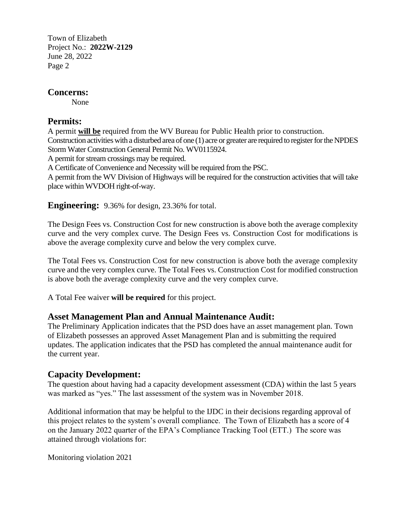Town of Elizabeth Project No.: **2022W-2129** June 28, 2022 Page 2

## **Concerns:**

None

## **Permits:**

A permit **will be** required from the WV Bureau for Public Health prior to construction. Construction activities with a disturbed area of one (1) acre or greater are required to register for the NPDES Storm Water Construction General Permit No. WV0115924.

A permit for stream crossings may be required.

A Certificate of Convenience and Necessity will be required from the PSC.

A permit from the WV Division of Highways will be required for the construction activities that will take place within WVDOH right-of-way.

**Engineering:** 9.36% for design, 23.36% for total.

The Design Fees vs. Construction Cost for new construction is above both the average complexity curve and the very complex curve. The Design Fees vs. Construction Cost for modifications is above the average complexity curve and below the very complex curve.

The Total Fees vs. Construction Cost for new construction is above both the average complexity curve and the very complex curve. The Total Fees vs. Construction Cost for modified construction is above both the average complexity curve and the very complex curve.

A Total Fee waiver **will be required** for this project.

## **Asset Management Plan and Annual Maintenance Audit:**

The Preliminary Application indicates that the PSD does have an asset management plan. Town of Elizabeth possesses an approved Asset Management Plan and is submitting the required updates. The application indicates that the PSD has completed the annual maintenance audit for the current year.

## **Capacity Development:**

The question about having had a capacity development assessment (CDA) within the last 5 years was marked as "yes." The last assessment of the system was in November 2018.

Additional information that may be helpful to the IJDC in their decisions regarding approval of this project relates to the system's overall compliance. The Town of Elizabeth has a score of 4 on the January 2022 quarter of the EPA's Compliance Tracking Tool (ETT.) The score was attained through violations for:

Monitoring violation 2021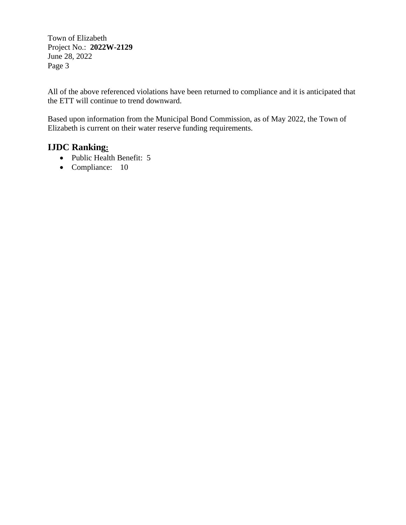Town of Elizabeth Project No.: **2022W-2129** June 28, 2022 Page 3

All of the above referenced violations have been returned to compliance and it is anticipated that the ETT will continue to trend downward.

Based upon information from the Municipal Bond Commission, as of May 2022, the Town of Elizabeth is current on their water reserve funding requirements.

## **IJDC Ranking:**

- Public Health Benefit: 5
- Compliance: 10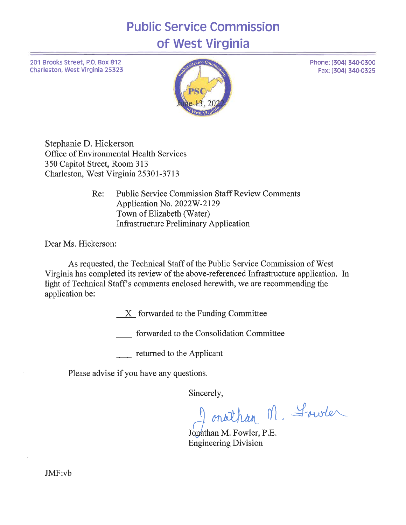# **Public Service Commission** of West Virginia

201 Brooks Street, P.O. Box 812 Charleston, West Virginia 25323



Stephanie D. Hickerson Office of Environmental Health Services 350 Capitol Street, Room 313 Charleston, West Virginia 25301-3713

> **Public Service Commission Staff Review Comments** Re: Application No. 2022W-2129 Town of Elizabeth (Water) **Infrastructure Preliminary Application**

Dear Ms. Hickerson:

As requested, the Technical Staff of the Public Service Commission of West Virginia has completed its review of the above-referenced Infrastructure application. In light of Technical Staff's comments enclosed herewith, we are recommending the application be:

 $X$  forwarded to the Funding Committee

\_ forwarded to the Consolidation Committee

returned to the Applicant

Please advise if you have any questions.

Sincerely,

onathan M. Lower

Jonathan M. Fowler, P.E. **Engineering Division** 

Phone: (304) 340-0300 Fax: (304) 340-0325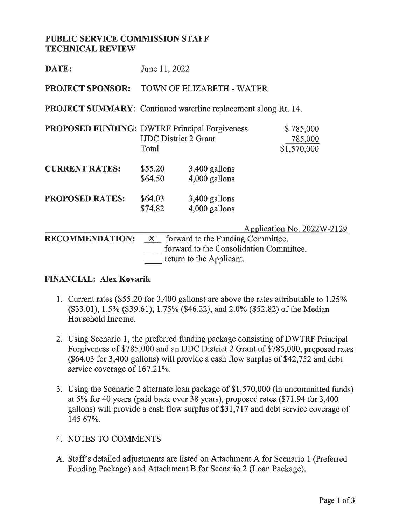### **PUBLIC SERVICE COMMISSION STAFF TECHNICAL REVIEW**

| DATE:                                                | June 11, 2022                         |                                                                                                          |                                     |  |  |  |
|------------------------------------------------------|---------------------------------------|----------------------------------------------------------------------------------------------------------|-------------------------------------|--|--|--|
| <b>PROJECT SPONSOR:</b>                              | TOWN OF ELIZABETH - WATER             |                                                                                                          |                                     |  |  |  |
|                                                      |                                       | <b>PROJECT SUMMARY:</b> Continued waterline replacement along Rt. 14.                                    |                                     |  |  |  |
| <b>PROPOSED FUNDING: DWTRF Principal Forgiveness</b> | <b>IJDC</b> District 2 Grant<br>Total |                                                                                                          | \$785,000<br>785,000<br>\$1,570,000 |  |  |  |
| <b>CURRENT RATES:</b>                                | \$55.20<br>\$64.50                    | 3,400 gallons<br>4,000 gallons                                                                           |                                     |  |  |  |
| <b>PROPOSED RATES:</b>                               | \$64.03<br>\$74.82                    | 3,400 gallons<br>4,000 gallons                                                                           |                                     |  |  |  |
| <b>RECOMMENDATION:</b>                               | $\mathbf{X}$                          | forward to the Funding Committee.<br>forward to the Consolidation Committee.<br>return to the Applicant. | Application No. 2022W-2129          |  |  |  |

### **FINANCIAL: Alex Kovarik**

- 1. Current rates (\$55.20 for 3,400 gallons) are above the rates attributable to 1.25% (\$33.01), 1.5% (\$39.61), 1.75% (\$46.22), and 2.0% (\$52.82) of the Median Household Income.
- 2. Using Scenario 1, the preferred funding package consisting of DWTRF Principal Forgiveness of \$785,000 and an IJDC District 2 Grant of \$785,000, proposed rates (\$64.03 for 3,400 gallons) will provide a cash flow surplus of \$42,752 and debt service coverage of 167.21%.
- 3. Using the Scenario 2 alternate loan package of \$1,570,000 (in uncommitted funds) at 5% for 40 years (paid back over 38 years), proposed rates (\$71.94 for 3,400 gallons) will provide a cash flow surplus of \$31,717 and debt service coverage of 145.67%.
- 4. NOTES TO COMMENTS
- A. Staff's detailed adjustments are listed on Attachment A for Scenario 1 (Preferred Funding Package) and Attachment B for Scenario 2 (Loan Package).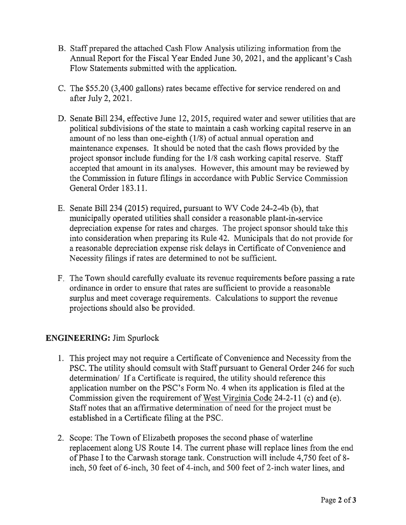- B. Staff prepared the attached Cash Flow Analysis utilizing information from the Annual Report for the Fiscal Year Ended June 30, 2021, and the applicant's Cash Flow Statements submitted with the application.
- C. The \$55.20 (3,400 gallons) rates became effective for service rendered on and after July 2, 2021.
- D. Senate Bill 234, effective June 12, 2015, required water and sewer utilities that are political subdivisions of the state to maintain a cash working capital reserve in an amount of no less than one-eighth (1/8) of actual annual operation and maintenance expenses. It should be noted that the cash flows provided by the project sponsor include funding for the 1/8 cash working capital reserve. Staff accepted that amount in its analyses. However, this amount may be reviewed by the Commission in future filings in accordance with Public Service Commission General Order 183.11.
- E. Senate Bill 234 (2015) required, pursuant to WV Code 24-2-4b (b), that municipally operated utilities shall consider a reasonable plant-in-service depreciation expense for rates and charges. The project sponsor should take this into consideration when preparing its Rule 42. Municipals that do not provide for a reasonable depreciation expense risk delays in Certificate of Convenience and Necessity filings if rates are determined to not be sufficient.
- F. The Town should carefully evaluate its revenue requirements before passing a rate ordinance in order to ensure that rates are sufficient to provide a reasonable surplus and meet coverage requirements. Calculations to support the revenue projections should also be provided.

## **ENGINEERING:** Jim Spurlock

- 1. This project may not require a Certificate of Convenience and Necessity from the PSC. The utility should comsult with Staff pursuant to General Order 246 for such determination/ If a Certificate is required, the utility should reference this application number on the PSC's Form No. 4 when its application is filed at the Commission given the requirement of West Virginia Code 24-2-11 (c) and (e). Staff notes that an affirmative determination of need for the project must be established in a Certificate filing at the PSC.
- 2. Scope: The Town of Elizabeth proposes the second phase of waterline replacement along US Route 14. The current phase will replace lines from the end of Phase I to the Carwash storage tank. Construction will include 4,750 feet of 8inch, 50 feet of 6-inch, 30 feet of 4-inch, and 500 feet of 2-inch water lines, and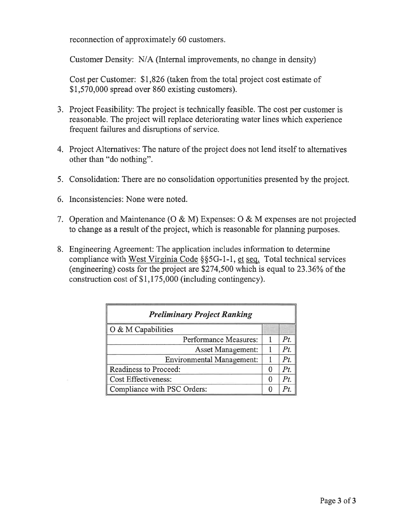reconnection of approximately 60 customers.

Customer Density: N/A (Internal improvements, no change in density)

Cost per Customer: \$1,826 (taken from the total project cost estimate of \$1,570,000 spread over 860 existing customers).

- 3. Project Feasibility: The project is technically feasible. The cost per customer is reasonable. The project will replace deteriorating water lines which experience frequent failures and disruptions of service.
- 4. Project Alternatives: The nature of the project does not lend itself to alternatives other than "do nothing".
- 5. Consolidation: There are no consolidation opportunities presented by the project.
- 6. Inconsistencies: None were noted.
- 7. Operation and Maintenance (O & M) Expenses: O & M expenses are not projected to change as a result of the project, which is reasonable for planning purposes.
- 8. Engineering Agreement: The application includes information to determine compliance with West Virginia Code §§5G-1-1, et seq. Total technical services (engineering) costs for the project are \$274,500 which is equal to 23.36% of the construction cost of \$1,175,000 (including contingency).

| <b>Preliminary Project Ranking</b> |   |     |  |  |
|------------------------------------|---|-----|--|--|
| O & M Capabilities                 |   |     |  |  |
| Performance Measures:              |   | Pt. |  |  |
| Asset Management:                  |   | Pt. |  |  |
| <b>Environmental Management:</b>   |   | Pt. |  |  |
| Readiness to Proceed:              | 0 | Pt. |  |  |
| <b>Cost Effectiveness:</b>         | 0 | Pt. |  |  |
| Compliance with PSC Orders:        | O |     |  |  |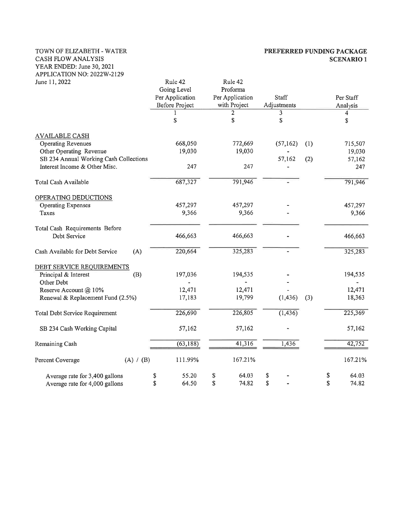#### TOWN OF ELIZABETH - WATER CASH FLOW ANALYSIS YEAR ENDED: June 30, 2021 APPLICATION NO: 2022W-2129

#### PREFERRED FUNDING PACKAGE **SCENARIO 1**

| June 11, 2022                          | Rule 42               | Rule 42         |              |                |
|----------------------------------------|-----------------------|-----------------|--------------|----------------|
|                                        | Going Level           | Proforma        |              |                |
|                                        | Per Application       | Per Application | <b>Staff</b> | Per Staff      |
|                                        | <b>Before Project</b> | with Project    | Adjustments  | Analysis       |
|                                        |                       | 2               | 3            | 4              |
|                                        | \$                    | \$              | \$           | \$             |
| <b>AVAILABLE CASH</b>                  |                       |                 |              |                |
| <b>Operating Revenues</b>              | 668,050               | 772,669         | (57, 162)    | (1)<br>715,507 |
| Other Operating Revenue                | 19,030                | 19,030          |              | 19,030         |
| SB 234 Annual Working Cash Collections |                       |                 | 57,162       | (2)<br>57,162  |
| Interest Income & Other Misc.          | 247                   | 247             |              | 247            |
| Total Cash Available                   | 687,327               | 791,946         |              | 791,946        |
| OPERATING DEDUCTIONS                   |                       |                 |              |                |
| <b>Operating Expenses</b>              | 457,297               | 457,297         |              | 457,297        |
| Taxes                                  | 9,366                 | 9,366           |              | 9,366          |
| Total Cash Requirements Before         |                       |                 |              |                |
| Debt Service                           | 466,663               | 466,663         |              | 466,663        |
| (A)<br>Cash Available for Debt Service | 220,664               | 325,283         |              | 325,283        |
| DEBT SERVICE REQUIREMENTS              |                       |                 |              |                |
| Principal & Interest<br>(B)            | 197,036               | 194,535         |              | 194,535        |
| Other Debt                             |                       |                 |              |                |
| Reserve Account @ 10%                  | 12,471                | 12,471          |              | 12,471         |
| Renewal & Replacement Fund (2.5%)      | 17,183                | 19,799          | (1, 436)     | 18,363<br>(3)  |
| Total Debt Service Requirement         | 226,690               | 226,805         | (1, 436)     | 225,369        |
| SB 234 Cash Working Capital            | 57,162                | 57,162          |              | 57,162         |
| Remaining Cash                         | (63, 188)             | 41,316          | 1,436        | 42,752         |
| (A) / (B)<br>Percent Coverage          | 111.99%               | 167.21%         |              | 167.21%        |
| Average rate for 3,400 gallons         | 55.20<br>\$           | \$<br>64.03     | \$           | 64.03<br>\$    |
| Average rate for 4,000 gallons         | \$<br>64.50           | \$<br>74.82     | \$           | \$<br>74.82    |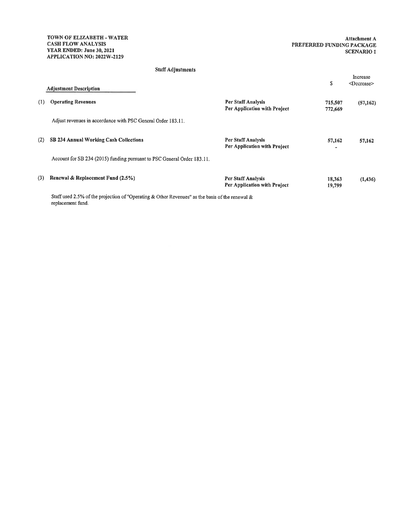replacement fund.

#### **Staff Adjustments**

|     | <b>Adjustment Description</b>                                                                   |                                                    | \$                 | Increase<br><decrease></decrease> |
|-----|-------------------------------------------------------------------------------------------------|----------------------------------------------------|--------------------|-----------------------------------|
| (1) | <b>Operating Revenues</b>                                                                       | Per Staff Analysis<br>Per Application with Project | 715,507<br>772,669 | (57, 162)                         |
|     | Adjust revenues in accordance with PSC General Order 183.11.                                    |                                                    |                    |                                   |
| (2) | SB 234 Annual Working Cash Collections                                                          | Per Staff Analysis<br>Per Application with Project | 57,162             | 57,162                            |
|     | Account for SB 234 (2015) funding pursuant to PSC General Order 183.11.                         |                                                    |                    |                                   |
| (3) | Renewal & Replacement Fund (2.5%)                                                               | Per Staff Analysis<br>Per Application with Project | 18,363<br>19,799   | (1, 436)                          |
|     | Staff used 2.5% of the projection of "Operating & Other Revenues" as the basis of the renewal & |                                                    |                    |                                   |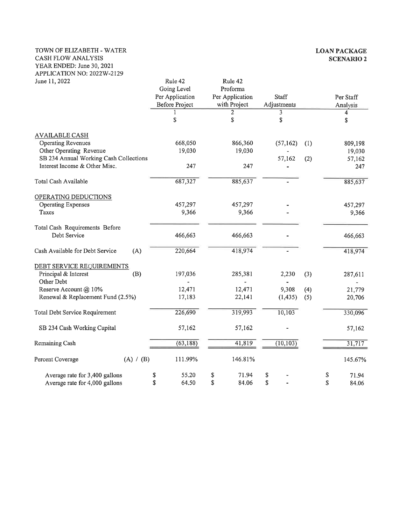#### TOWN OF ELIZABETH - WATER CASH FLOW ANALYSIS YEAR ENDED: June 30, 2021 APPLICATION NO: 2022W-2129

| June 11, 2022                             | Rule 42               | Rule 42         |             |     |             |
|-------------------------------------------|-----------------------|-----------------|-------------|-----|-------------|
|                                           | Going Level           | Proforma        |             |     |             |
|                                           | Per Application       | Per Application | Staff       |     | Per Staff   |
|                                           | <b>Before Project</b> | with Project    | Adjustments |     | Analysis    |
|                                           |                       | 2               | 3           |     | 4           |
|                                           | \$                    | \$              | \$          |     | \$          |
| <b>AVAILABLE CASH</b>                     |                       |                 |             |     |             |
| <b>Operating Revenues</b>                 | 668,050               | 866,360         | (57, 162)   | (1) | 809,198     |
| Other Operating Revenue                   | 19,030                | 19,030          |             |     | 19,030      |
| SB 234 Annual Working Cash Collections    |                       |                 | 57,162      | (2) | 57,162      |
| Interest Income & Other Misc.             | 247                   | 247             |             |     | 247         |
| Total Cash Available                      | 687,327               | 885,637         |             |     | 885,637     |
| OPERATING DEDUCTIONS                      |                       |                 |             |     |             |
| <b>Operating Expenses</b>                 | 457,297               | 457,297         |             |     | 457,297     |
| Taxes                                     | 9,366                 | 9,366           |             |     | 9,366       |
| Total Cash Requirements Before            |                       |                 |             |     |             |
| Debt Service                              | 466,663               | 466,663         |             |     | 466,663     |
| Cash Available for Debt Service<br>(A)    | 220,664               | 418,974         |             |     | 418,974     |
| DEBT SERVICE REQUIREMENTS                 |                       |                 |             |     |             |
| Principal & Interest<br>(B)<br>Other Debt | 197,036               | 285,381         | 2,230       | (3) | 287,611     |
| Reserve Account @ 10%                     | 12,471                | 12,471          | 9,308       | (4) | 21,779      |
| Renewal & Replacement Fund (2.5%)         | 17,183                | 22,141          | (1, 435)    | (5) | 20,706      |
| <b>Total Debt Service Requirement</b>     | 226,690               | 319,993         | 10,103      |     | 330,096     |
| SB 234 Cash Working Capital               | 57,162                | 57,162          |             |     | 57,162      |
| Remaining Cash                            | (63, 188)             | 41,819          | (10, 103)   |     | 31,717      |
| (A) / (B)<br>Percent Coverage             | 111.99%               | 146.81%         |             |     | 145.67%     |
|                                           |                       |                 |             |     |             |
| Average rate for 3,400 gallons            | 55.20<br>\$           | 71.94<br>\$     | \$          |     | 71.94<br>S  |
| Average rate for 4,000 gallons            | \$<br>64.50           | \$<br>84.06     | \$          |     | \$<br>84.06 |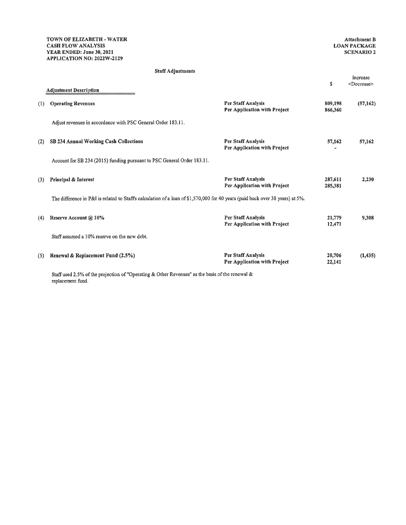#### Staff Adjustments

|     | <b>Adjustment Description</b>                                                                                                                    |                                                           | S                  | <decrease></decrease> |
|-----|--------------------------------------------------------------------------------------------------------------------------------------------------|-----------------------------------------------------------|--------------------|-----------------------|
| (1) | <b>Operating Revenues</b>                                                                                                                        | Per Staff Analysis<br>Per Application with Project        | 809,198<br>866,360 | (57, 162)             |
|     | Adjust revenues in accordance with PSC General Order 183.11.                                                                                     |                                                           |                    |                       |
| (2) | SB 234 Annual Working Cash Collections                                                                                                           | <b>Per Staff Analysis</b><br>Per Application with Project | 57,162             | 57,162                |
|     | Account for SB 234 (2015) funding pursuant to PSC General Order 183.11.                                                                          |                                                           |                    |                       |
| (3) | Principal & Interest                                                                                                                             | <b>Per Staff Analysis</b><br>Per Application with Project | 287,611<br>285,381 | 2,230                 |
|     | The difference in P&I is related to Staff's calculation of a loan of \$1,570,000 for 40 years (paid back over 38 years) at 5%.                   |                                                           |                    |                       |
| (4) | Reserve Account @ 10%                                                                                                                            | Per Staff Analysis<br>Per Application with Project        | 21,779<br>12,471   | 9,308                 |
|     | Staff assumed a 10% reserve on the new debt.                                                                                                     |                                                           |                    |                       |
| (5) | Renewal & Replacement Fund (2.5%)                                                                                                                | Per Staff Analysis<br>Per Application with Project        | 20,706<br>22,141   | (1, 435)              |
|     | $\alpha$ and the contraction of $\alpha$ and $\alpha$ and $\alpha$ and $\alpha$ and $\alpha$ and $\alpha$ and $\alpha$ and $\alpha$ and $\alpha$ |                                                           |                    |                       |

Staff used 2.5% of the projection of "Operating & Other Revenues" as the basis of the renewal & replacement fund.

Increase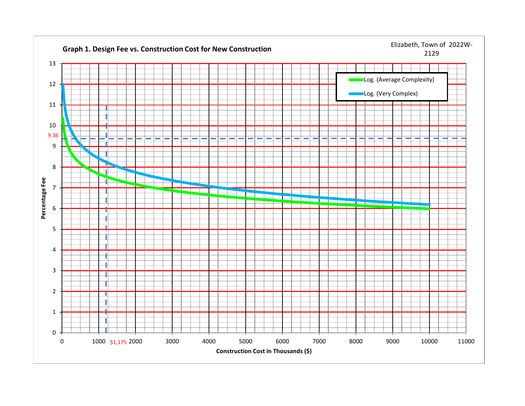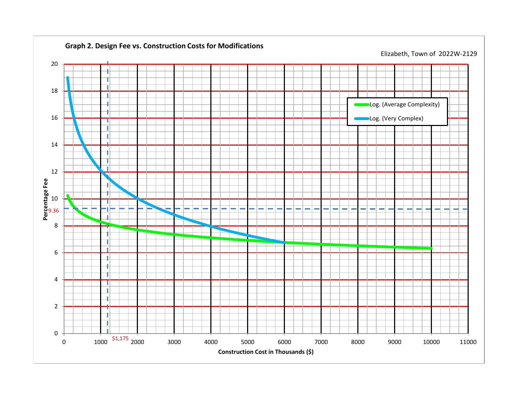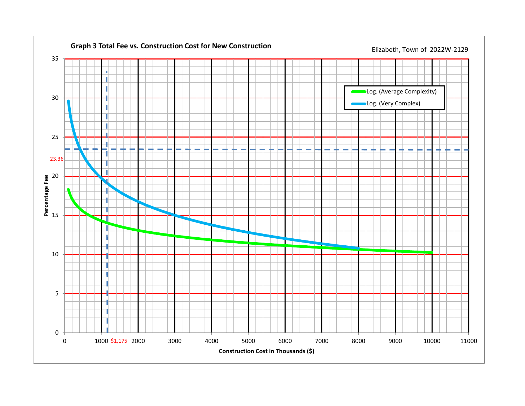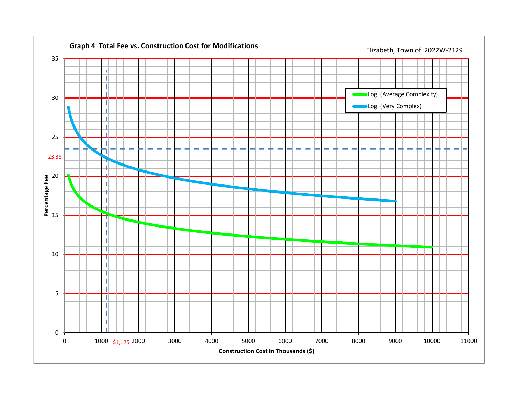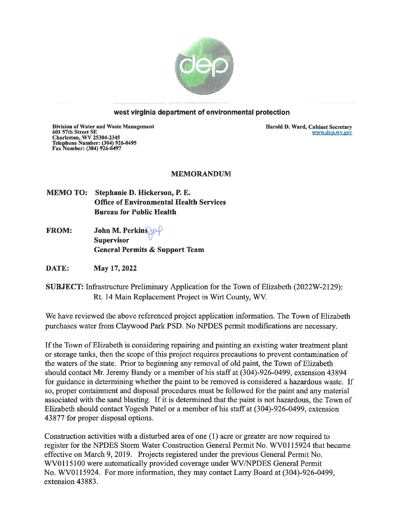

#### west virginia department of environmental protection

**Division of Water and Waste Management** Division of water and waste Manag<br>601 57th Street SE<br>Charleston, WV 25304-2345<br>Telephone Number: (304) 926-0495<br>Fax Number: (304) 926-0497

Harold D. Ward, Cabinet Secretary www.dep.wv.gov

#### **MEMORANDUM**

MEMO TO: Stephanie D. Hickerson, P. E. **Office of Environmental Health Services Bureau for Public Health** 

John M. Perkins **FROM: Supervisor General Permits & Support Team** 

**DATE:** May 17, 2022

**SUBJECT:** Infrastructure Preliminary Application for the Town of Elizabeth (2022W-2129): Rt. 14 Main Replacement Project in Wirt County, WV.

We have reviewed the above referenced project application information. The Town of Elizabeth purchases water from Claywood Park PSD. No NPDES permit modifications are necessary.

If the Town of Elizabeth is considering repairing and painting an existing water treatment plant or storage tanks, then the scope of this project requires precautions to prevent contamination of the waters of the state. Prior to beginning any removal of old paint, the Town of Elizabeth should contact Mr. Jeremy Bandy or a member of his staff at (304)-926-0499, extension 43894 for guidance in determining whether the paint to be removed is considered a hazardous waste. If so, proper containment and disposal procedures must be followed for the paint and any material associated with the sand blasting. If it is determined that the paint is not hazardous, the Town of Elizabeth should contact Yogesh Patel or a member of his staff at (304)-926-0499, extension 43877 for proper disposal options.

Construction activities with a disturbed area of one (1) acre or greater are now required to register for the NPDES Storm Water Construction General Permit No. WV0115924 that became effective on March 9, 2019. Projects registered under the previous General Permit No. WV0115100 were automatically provided coverage under WV/NPDES General Permit No. WV0115924. For more information, they may contact Larry Board at (304)-926-0499, extension 43883.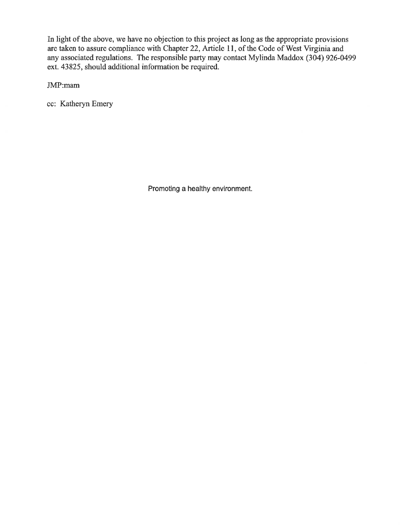In light of the above, we have no objection to this project as long as the appropriate provisions are taken to assure compliance with Chapter 22, Article 11, of the Code of West Virginia and any associated regulations. The responsible party may contact Mylinda Maddox (304) 926-0499 ext. 43825, should additional information be required.

JMP:mam

cc: Katheryn Emery

Promoting a healthy environment.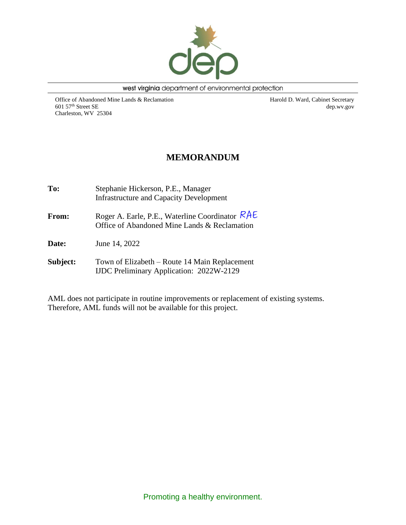

west virginia department of environmental protection

Office of Abandoned Mine Lands & Reclamation 601 57th Street SE Charleston, WV 25304

Harold D. Ward, Cabinet Secretary dep.wv.gov

## **MEMORANDUM**

**To:** Stephanie Hickerson, P.E., Manager Infrastructure and Capacity Development From: Roger A. Earle, P.E., Waterline Coordinator RAE Office of Abandoned Mine Lands & Reclamation **Date:** June 14, 2022 **Subject:** Town of Elizabeth – Route 14 Main Replacement IJDC Preliminary Application: 2022W-2129

AML does not participate in routine improvements or replacement of existing systems. Therefore, AML funds will not be available for this project.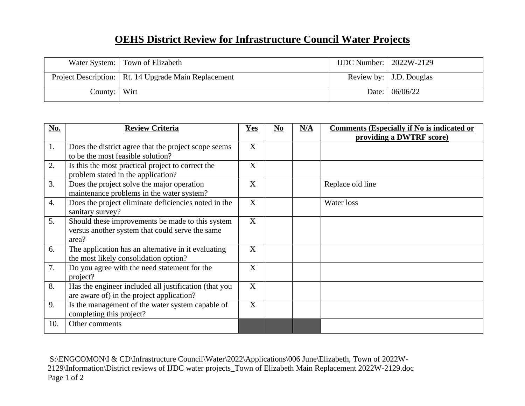# **OEHS District Review for Infrastructure Council Water Projects**

|                | Water System: Town of Elizabeth                        | IJDC Number: $\vert$ 2022W-2129 |                           |
|----------------|--------------------------------------------------------|---------------------------------|---------------------------|
|                | Project Description:   Rt. 14 Upgrade Main Replacement |                                 | Review by:   J.D. Douglas |
| County:   Wirt |                                                        |                                 | Date: $06/06/22$          |

| No.              | <b>Review Criteria</b>                                                                                       | Yes | N <sub>0</sub> | N/A | <b>Comments (Especially if No is indicated or</b><br>providing a DWTRF score) |
|------------------|--------------------------------------------------------------------------------------------------------------|-----|----------------|-----|-------------------------------------------------------------------------------|
| 1.               | Does the district agree that the project scope seems<br>to be the most feasible solution?                    | X   |                |     |                                                                               |
| 2.               | Is this the most practical project to correct the<br>problem stated in the application?                      | X   |                |     |                                                                               |
| 3.               | Does the project solve the major operation<br>maintenance problems in the water system?                      | X   |                |     | Replace old line                                                              |
| $\overline{4}$ . | Does the project eliminate deficiencies noted in the<br>sanitary survey?                                     | X   |                |     | Water loss                                                                    |
| 5.               | Should these improvements be made to this system<br>versus another system that could serve the same<br>area? | X   |                |     |                                                                               |
| 6.               | The application has an alternative in it evaluating<br>the most likely consolidation option?                 | X   |                |     |                                                                               |
| 7.               | Do you agree with the need statement for the<br>project?                                                     | X   |                |     |                                                                               |
| 8.               | Has the engineer included all justification (that you<br>are aware of) in the project application?           | X   |                |     |                                                                               |
| 9.               | Is the management of the water system capable of<br>completing this project?                                 | X   |                |     |                                                                               |
| 10.              | Other comments                                                                                               |     |                |     |                                                                               |

S:\ENGCOMON\I & CD\Infrastructure Council\Water\2022\Applications\006 June\Elizabeth, Town of 2022W-2129\Information\District reviews of IJDC water projects\_Town of Elizabeth Main Replacement 2022W-2129.doc Page 1 of 2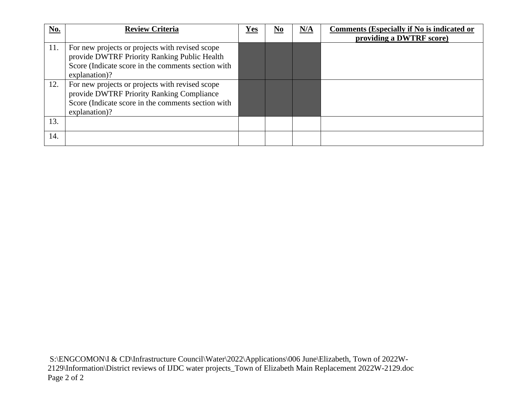| No. | <b>Review Criteria</b>                                                                                                                                                 | Yes | $\underline{\mathbf{N}\mathbf{0}}$ | N/A | <b>Comments (Especially if No is indicated or</b><br>providing a DWTRF score) |
|-----|------------------------------------------------------------------------------------------------------------------------------------------------------------------------|-----|------------------------------------|-----|-------------------------------------------------------------------------------|
| 11. | For new projects or projects with revised scope<br>provide DWTRF Priority Ranking Public Health<br>Score (Indicate score in the comments section with<br>explanation)? |     |                                    |     |                                                                               |
| 12. | For new projects or projects with revised scope<br>provide DWTRF Priority Ranking Compliance<br>Score (Indicate score in the comments section with<br>explanation)?    |     |                                    |     |                                                                               |
| 13. |                                                                                                                                                                        |     |                                    |     |                                                                               |
| 14. |                                                                                                                                                                        |     |                                    |     |                                                                               |